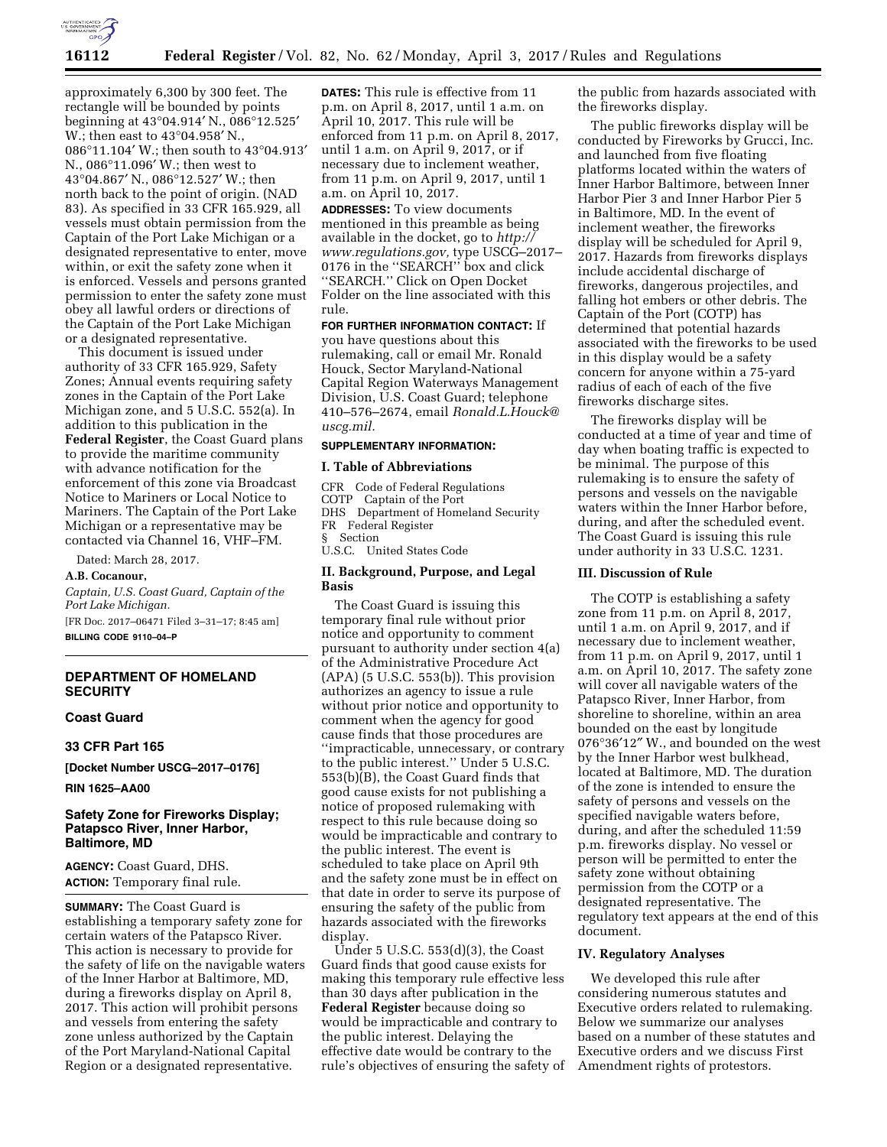

approximately 6,300 by 300 feet. The rectangle will be bounded by points beginning at 43°04.914′ N., 086°12.525′ W.; then east to 43°04.958′ N., 086°11.104′ W.; then south to 43°04.913′ N., 086°11.096′ W.; then west to 43°04.867′ N., 086°12.527′ W.; then north back to the point of origin. (NAD 83). As specified in 33 CFR 165.929, all vessels must obtain permission from the Captain of the Port Lake Michigan or a designated representative to enter, move within, or exit the safety zone when it is enforced. Vessels and persons granted permission to enter the safety zone must obey all lawful orders or directions of the Captain of the Port Lake Michigan or a designated representative.

This document is issued under authority of 33 CFR 165.929, Safety Zones; Annual events requiring safety zones in the Captain of the Port Lake Michigan zone, and 5 U.S.C. 552(a). In addition to this publication in the **Federal Register**, the Coast Guard plans to provide the maritime community with advance notification for the enforcement of this zone via Broadcast Notice to Mariners or Local Notice to Mariners. The Captain of the Port Lake Michigan or a representative may be contacted via Channel 16, VHF–FM.

Dated: March 28, 2017.

#### **A.B. Cocanour,**

*Captain, U.S. Coast Guard, Captain of the Port Lake Michigan.*  [FR Doc. 2017–06471 Filed 3–31–17; 8:45 am]

**BILLING CODE 9110–04–P** 

### **DEPARTMENT OF HOMELAND SECURITY**

#### **Coast Guard**

**33 CFR Part 165** 

**[Docket Number USCG–2017–0176]** 

**RIN 1625–AA00** 

### **Safety Zone for Fireworks Display; Patapsco River, Inner Harbor, Baltimore, MD**

**AGENCY:** Coast Guard, DHS. **ACTION:** Temporary final rule.

**SUMMARY:** The Coast Guard is establishing a temporary safety zone for certain waters of the Patapsco River. This action is necessary to provide for the safety of life on the navigable waters of the Inner Harbor at Baltimore, MD, during a fireworks display on April 8, 2017. This action will prohibit persons and vessels from entering the safety zone unless authorized by the Captain of the Port Maryland-National Capital Region or a designated representative.

**DATES:** This rule is effective from 11 p.m. on April 8, 2017, until 1 a.m. on April 10, 2017. This rule will be enforced from 11 p.m. on April 8, 2017, until 1 a.m. on April 9, 2017, or if necessary due to inclement weather, from 11 p.m. on April 9, 2017, until 1 a.m. on April 10, 2017.

**ADDRESSES:** To view documents mentioned in this preamble as being available in the docket, go to *[http://](http://www.regulations.gov) [www.regulations.gov,](http://www.regulations.gov)* type USCG–2017– 0176 in the ''SEARCH'' box and click ''SEARCH.'' Click on Open Docket Folder on the line associated with this rule.

# **FOR FURTHER INFORMATION CONTACT:** If

you have questions about this rulemaking, call or email Mr. Ronald Houck, Sector Maryland-National Capital Region Waterways Management Division, U.S. Coast Guard; telephone 410–576–2674, email *[Ronald.L.Houck@](mailto:Ronald.L.Houck@uscg.mil) [uscg.mil.](mailto:Ronald.L.Houck@uscg.mil)* 

# **SUPPLEMENTARY INFORMATION:**

#### **I. Table of Abbreviations**

- CFR Code of Federal Regulations COTP Captain of the Port DHS Department of Homeland Security
- FR Federal Register

§ Section

U.S.C. United States Code

#### **II. Background, Purpose, and Legal Basis**

The Coast Guard is issuing this temporary final rule without prior notice and opportunity to comment pursuant to authority under section 4(a) of the Administrative Procedure Act (APA) (5 U.S.C. 553(b)). This provision authorizes an agency to issue a rule without prior notice and opportunity to comment when the agency for good cause finds that those procedures are ''impracticable, unnecessary, or contrary to the public interest.'' Under 5 U.S.C. 553(b)(B), the Coast Guard finds that good cause exists for not publishing a notice of proposed rulemaking with respect to this rule because doing so would be impracticable and contrary to the public interest. The event is scheduled to take place on April 9th and the safety zone must be in effect on that date in order to serve its purpose of ensuring the safety of the public from hazards associated with the fireworks display.

Under 5 U.S.C. 553(d)(3), the Coast Guard finds that good cause exists for making this temporary rule effective less than 30 days after publication in the **Federal Register** because doing so would be impracticable and contrary to the public interest. Delaying the effective date would be contrary to the rule's objectives of ensuring the safety of the public from hazards associated with the fireworks display.

The public fireworks display will be conducted by Fireworks by Grucci, Inc. and launched from five floating platforms located within the waters of Inner Harbor Baltimore, between Inner Harbor Pier 3 and Inner Harbor Pier 5 in Baltimore, MD. In the event of inclement weather, the fireworks display will be scheduled for April 9, 2017. Hazards from fireworks displays include accidental discharge of fireworks, dangerous projectiles, and falling hot embers or other debris. The Captain of the Port (COTP) has determined that potential hazards associated with the fireworks to be used in this display would be a safety concern for anyone within a 75-yard radius of each of each of the five fireworks discharge sites.

The fireworks display will be conducted at a time of year and time of day when boating traffic is expected to be minimal. The purpose of this rulemaking is to ensure the safety of persons and vessels on the navigable waters within the Inner Harbor before, during, and after the scheduled event. The Coast Guard is issuing this rule under authority in 33 U.S.C. 1231.

## **III. Discussion of Rule**

The COTP is establishing a safety zone from 11 p.m. on April 8, 2017, until 1 a.m. on April 9, 2017, and if necessary due to inclement weather, from 11 p.m. on April 9, 2017, until 1 a.m. on April 10, 2017. The safety zone will cover all navigable waters of the Patapsco River, Inner Harbor, from shoreline to shoreline, within an area bounded on the east by longitude 076°36′12″ W., and bounded on the west by the Inner Harbor west bulkhead, located at Baltimore, MD. The duration of the zone is intended to ensure the safety of persons and vessels on the specified navigable waters before, during, and after the scheduled 11:59 p.m. fireworks display. No vessel or person will be permitted to enter the safety zone without obtaining permission from the COTP or a designated representative. The regulatory text appears at the end of this document.

#### **IV. Regulatory Analyses**

We developed this rule after considering numerous statutes and Executive orders related to rulemaking. Below we summarize our analyses based on a number of these statutes and Executive orders and we discuss First Amendment rights of protestors.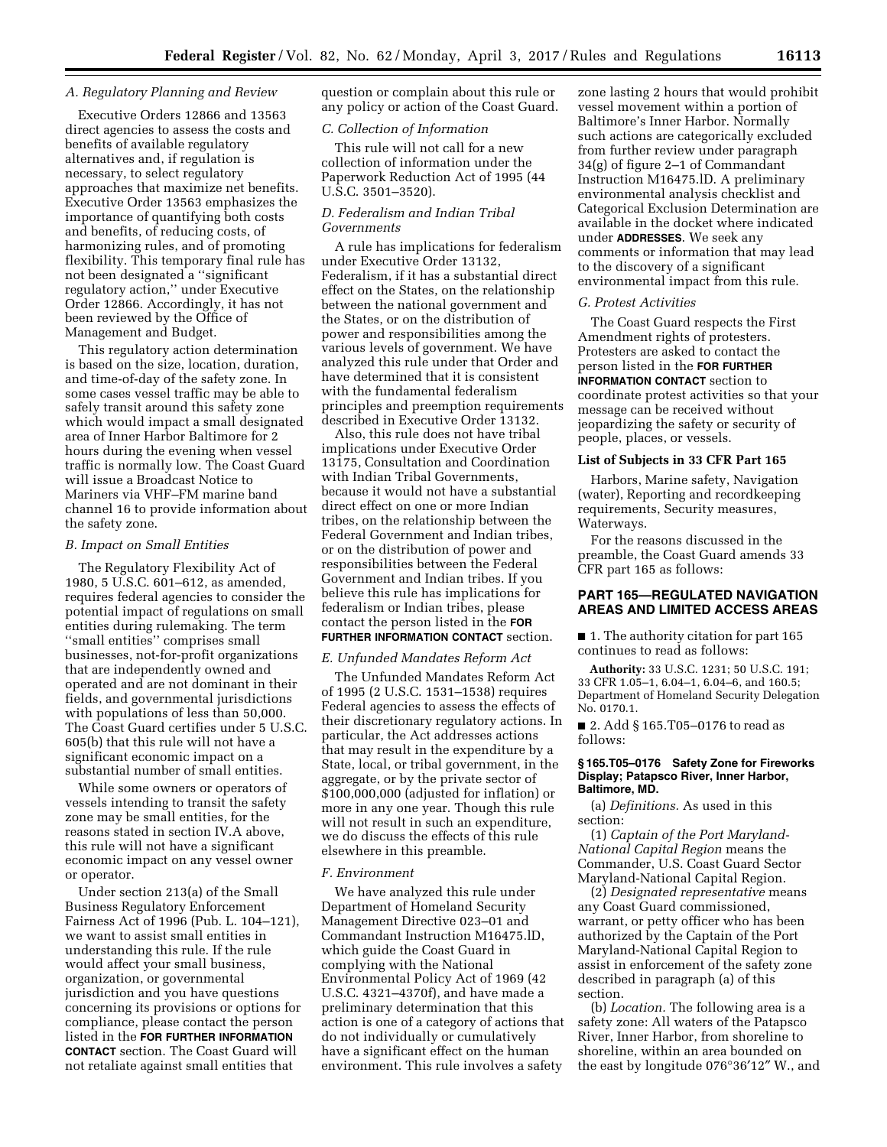### *A. Regulatory Planning and Review*

Executive Orders 12866 and 13563 direct agencies to assess the costs and benefits of available regulatory alternatives and, if regulation is necessary, to select regulatory approaches that maximize net benefits. Executive Order 13563 emphasizes the importance of quantifying both costs and benefits, of reducing costs, of harmonizing rules, and of promoting flexibility. This temporary final rule has not been designated a ''significant regulatory action,'' under Executive Order 12866. Accordingly, it has not been reviewed by the Office of Management and Budget.

This regulatory action determination is based on the size, location, duration, and time-of-day of the safety zone. In some cases vessel traffic may be able to safely transit around this safety zone which would impact a small designated area of Inner Harbor Baltimore for 2 hours during the evening when vessel traffic is normally low. The Coast Guard will issue a Broadcast Notice to Mariners via VHF–FM marine band channel 16 to provide information about the safety zone.

#### *B. Impact on Small Entities*

The Regulatory Flexibility Act of 1980, 5 U.S.C. 601–612, as amended, requires federal agencies to consider the potential impact of regulations on small entities during rulemaking. The term ''small entities'' comprises small businesses, not-for-profit organizations that are independently owned and operated and are not dominant in their fields, and governmental jurisdictions with populations of less than 50,000. The Coast Guard certifies under 5 U.S.C. 605(b) that this rule will not have a significant economic impact on a substantial number of small entities.

While some owners or operators of vessels intending to transit the safety zone may be small entities, for the reasons stated in section IV.A above, this rule will not have a significant economic impact on any vessel owner or operator.

Under section 213(a) of the Small Business Regulatory Enforcement Fairness Act of 1996 (Pub. L. 104–121), we want to assist small entities in understanding this rule. If the rule would affect your small business, organization, or governmental jurisdiction and you have questions concerning its provisions or options for compliance, please contact the person listed in the **FOR FURTHER INFORMATION CONTACT** section. The Coast Guard will not retaliate against small entities that

question or complain about this rule or any policy or action of the Coast Guard.

### *C. Collection of Information*

This rule will not call for a new collection of information under the Paperwork Reduction Act of 1995 (44 U.S.C. 3501–3520).

# *D. Federalism and Indian Tribal Governments*

A rule has implications for federalism under Executive Order 13132, Federalism, if it has a substantial direct effect on the States, on the relationship between the national government and the States, or on the distribution of power and responsibilities among the various levels of government. We have analyzed this rule under that Order and have determined that it is consistent with the fundamental federalism principles and preemption requirements described in Executive Order 13132.

Also, this rule does not have tribal implications under Executive Order 13175, Consultation and Coordination with Indian Tribal Governments, because it would not have a substantial direct effect on one or more Indian tribes, on the relationship between the Federal Government and Indian tribes, or on the distribution of power and responsibilities between the Federal Government and Indian tribes. If you believe this rule has implications for federalism or Indian tribes, please contact the person listed in the **FOR FURTHER INFORMATION CONTACT** section.

# *E. Unfunded Mandates Reform Act*

The Unfunded Mandates Reform Act of 1995 (2 U.S.C. 1531–1538) requires Federal agencies to assess the effects of their discretionary regulatory actions. In particular, the Act addresses actions that may result in the expenditure by a State, local, or tribal government, in the aggregate, or by the private sector of \$100,000,000 (adjusted for inflation) or more in any one year. Though this rule will not result in such an expenditure, we do discuss the effects of this rule elsewhere in this preamble.

#### *F. Environment*

We have analyzed this rule under Department of Homeland Security Management Directive 023–01 and Commandant Instruction M16475.lD, which guide the Coast Guard in complying with the National Environmental Policy Act of 1969 (42 U.S.C. 4321–4370f), and have made a preliminary determination that this action is one of a category of actions that do not individually or cumulatively have a significant effect on the human environment. This rule involves a safety

zone lasting 2 hours that would prohibit vessel movement within a portion of Baltimore's Inner Harbor. Normally such actions are categorically excluded from further review under paragraph 34(g) of figure 2–1 of Commandant Instruction M16475.lD. A preliminary environmental analysis checklist and Categorical Exclusion Determination are available in the docket where indicated under **ADDRESSES**. We seek any comments or information that may lead to the discovery of a significant environmental impact from this rule.

#### *G. Protest Activities*

The Coast Guard respects the First Amendment rights of protesters. Protesters are asked to contact the person listed in the **FOR FURTHER INFORMATION CONTACT** section to coordinate protest activities so that your message can be received without jeopardizing the safety or security of people, places, or vessels.

#### **List of Subjects in 33 CFR Part 165**

Harbors, Marine safety, Navigation (water), Reporting and recordkeeping requirements, Security measures, Waterways.

For the reasons discussed in the preamble, the Coast Guard amends 33 CFR part 165 as follows:

# **PART 165—REGULATED NAVIGATION AREAS AND LIMITED ACCESS AREAS**

■ 1. The authority citation for part 165 continues to read as follows:

**Authority:** 33 U.S.C. 1231; 50 U.S.C. 191; 33 CFR 1.05–1, 6.04–1, 6.04–6, and 160.5; Department of Homeland Security Delegation No. 0170.1.

■ 2. Add § 165.T05-0176 to read as follows:

### **§ 165.T05–0176 Safety Zone for Fireworks Display; Patapsco River, Inner Harbor, Baltimore, MD.**

(a) *Definitions.* As used in this section:

(1) *Captain of the Port Maryland-National Capital Region* means the Commander, U.S. Coast Guard Sector Maryland-National Capital Region.

(2) *Designated representative* means any Coast Guard commissioned, warrant, or petty officer who has been authorized by the Captain of the Port Maryland-National Capital Region to assist in enforcement of the safety zone described in paragraph (a) of this section.

(b) *Location.* The following area is a safety zone: All waters of the Patapsco River, Inner Harbor, from shoreline to shoreline, within an area bounded on the east by longitude 076°36′12″ W., and